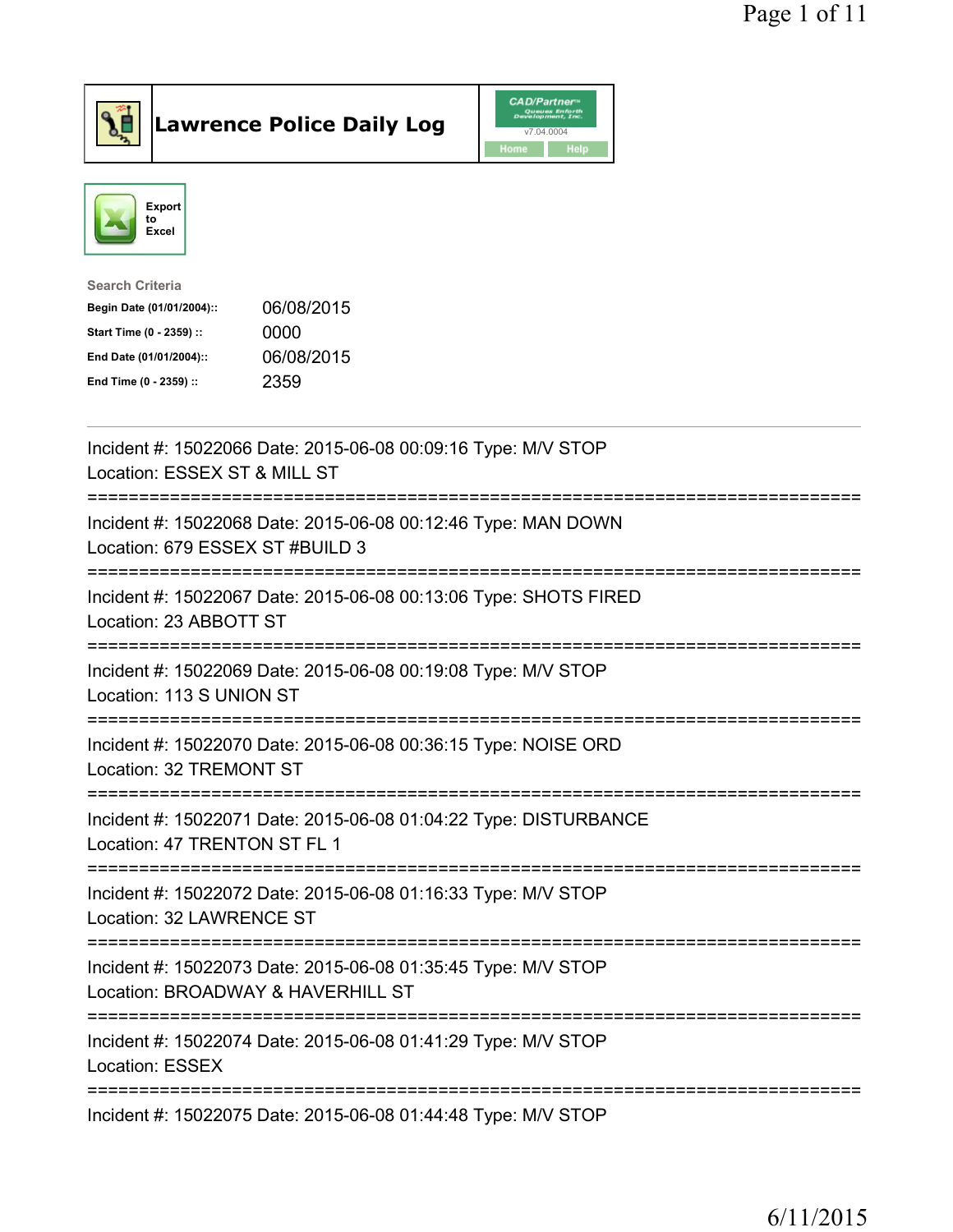

Lawrence Police Daily Log CAD/Partner



| <b>Search Criteria</b>    |            |
|---------------------------|------------|
| Begin Date (01/01/2004):: | 06/08/2015 |
| Start Time (0 - 2359) ::  | 0000       |
| End Date (01/01/2004)::   | 06/08/2015 |
| End Time (0 - 2359) ::    | 2359       |
|                           |            |

| Incident #: 15022066 Date: 2015-06-08 00:09:16 Type: M/V STOP<br>Location: ESSEX ST & MILL ST                                       |
|-------------------------------------------------------------------------------------------------------------------------------------|
| Incident #: 15022068 Date: 2015-06-08 00:12:46 Type: MAN DOWN<br>Location: 679 ESSEX ST #BUILD 3                                    |
| Incident #: 15022067 Date: 2015-06-08 00:13:06 Type: SHOTS FIRED<br>Location: 23 ABBOTT ST                                          |
| Incident #: 15022069 Date: 2015-06-08 00:19:08 Type: M/V STOP<br>Location: 113 S UNION ST                                           |
| Incident #: 15022070 Date: 2015-06-08 00:36:15 Type: NOISE ORD<br>Location: 32 TREMONT ST                                           |
| Incident #: 15022071 Date: 2015-06-08 01:04:22 Type: DISTURBANCE<br>Location: 47 TRENTON ST FL 1                                    |
| Incident #: 15022072 Date: 2015-06-08 01:16:33 Type: M/V STOP<br>Location: 32 LAWRENCE ST<br>====================================== |
| Incident #: 15022073 Date: 2015-06-08 01:35:45 Type: M/V STOP<br>Location: BROADWAY & HAVERHILL ST                                  |
| Incident #: 15022074 Date: 2015-06-08 01:41:29 Type: M/V STOP<br><b>Location: ESSEX</b>                                             |
| Incident #: 15022075 Date: 2015-06-08 01:44:48 Type: M/V STOP                                                                       |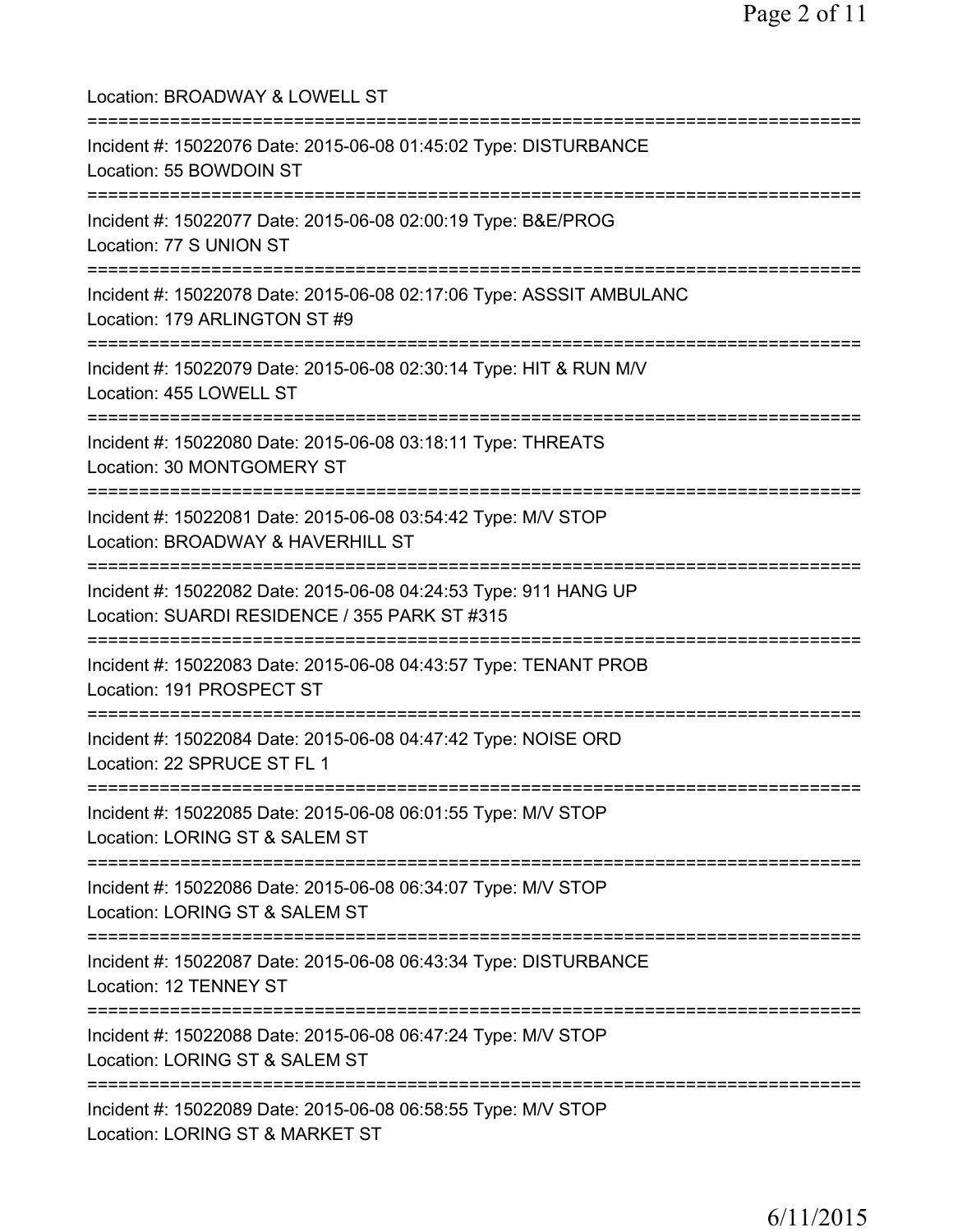Location: BROADWAY & LOWELL ST =========================================================================== Incident #: 15022076 Date: 2015-06-08 01:45:02 Type: DISTURBANCE Location: 55 BOWDOIN ST =========================================================================== Incident #: 15022077 Date: 2015-06-08 02:00:19 Type: B&E/PROG Location: 77 S UNION ST =========================================================================== Incident #: 15022078 Date: 2015-06-08 02:17:06 Type: ASSSIT AMBULANC Location: 179 ARLINGTON ST #9 =========================================================================== Incident #: 15022079 Date: 2015-06-08 02:30:14 Type: HIT & RUN M/V Location: 455 LOWELL ST =========================================================================== Incident #: 15022080 Date: 2015-06-08 03:18:11 Type: THREATS Location: 30 MONTGOMERY ST =========================================================================== Incident #: 15022081 Date: 2015-06-08 03:54:42 Type: M/V STOP Location: BROADWAY & HAVERHILL ST =========================================================================== Incident #: 15022082 Date: 2015-06-08 04:24:53 Type: 911 HANG UP Location: SUARDI RESIDENCE / 355 PARK ST #315 =========================================================================== Incident #: 15022083 Date: 2015-06-08 04:43:57 Type: TENANT PROB Location: 191 PROSPECT ST =========================================================================== Incident #: 15022084 Date: 2015-06-08 04:47:42 Type: NOISE ORD Location: 22 SPRUCE ST FL 1 =========================================================================== Incident #: 15022085 Date: 2015-06-08 06:01:55 Type: M/V STOP Location: LORING ST & SALEM ST =========================================================================== Incident #: 15022086 Date: 2015-06-08 06:34:07 Type: M/V STOP Location: LORING ST & SALEM ST =========================================================================== Incident #: 15022087 Date: 2015-06-08 06:43:34 Type: DISTURBANCE Location: 12 TENNEY ST =========================================================================== Incident #: 15022088 Date: 2015-06-08 06:47:24 Type: M/V STOP Location: LORING ST & SALEM ST =========================================================================== Incident #: 15022089 Date: 2015-06-08 06:58:55 Type: M/V STOP Location: LORING ST & MARKET ST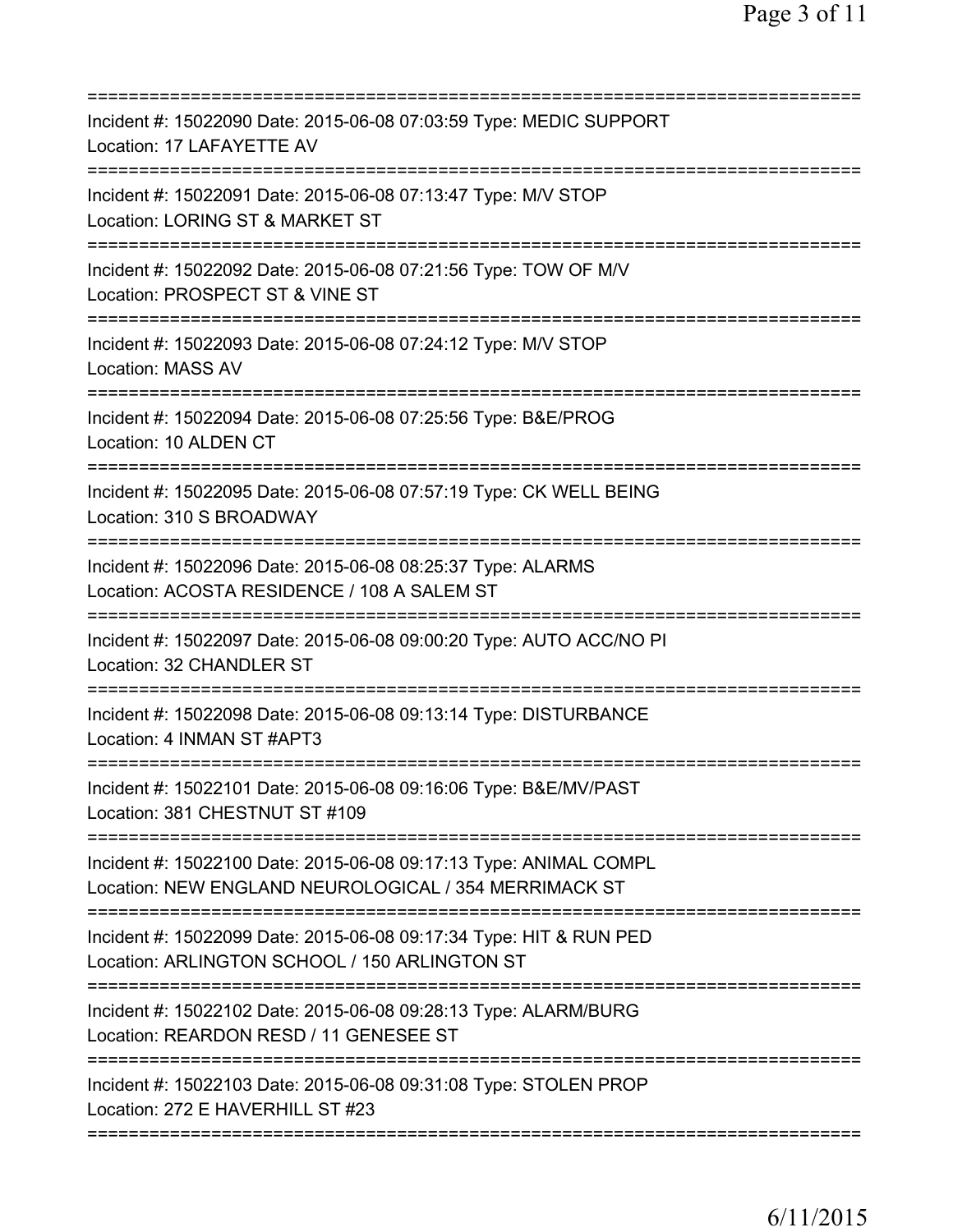| Incident #: 15022090 Date: 2015-06-08 07:03:59 Type: MEDIC SUPPORT<br>Location: 17 LAFAYETTE AV                                          |
|------------------------------------------------------------------------------------------------------------------------------------------|
| Incident #: 15022091 Date: 2015-06-08 07:13:47 Type: M/V STOP<br>Location: LORING ST & MARKET ST                                         |
| Incident #: 15022092 Date: 2015-06-08 07:21:56 Type: TOW OF M/V<br>Location: PROSPECT ST & VINE ST                                       |
| Incident #: 15022093 Date: 2015-06-08 07:24:12 Type: M/V STOP<br><b>Location: MASS AV</b>                                                |
| Incident #: 15022094 Date: 2015-06-08 07:25:56 Type: B&E/PROG<br>Location: 10 ALDEN CT                                                   |
| Incident #: 15022095 Date: 2015-06-08 07:57:19 Type: CK WELL BEING<br>Location: 310 S BROADWAY<br>====================================== |
| Incident #: 15022096 Date: 2015-06-08 08:25:37 Type: ALARMS<br>Location: ACOSTA RESIDENCE / 108 A SALEM ST                               |
| Incident #: 15022097 Date: 2015-06-08 09:00:20 Type: AUTO ACC/NO PI<br>Location: 32 CHANDLER ST                                          |
| Incident #: 15022098 Date: 2015-06-08 09:13:14 Type: DISTURBANCE<br>Location: 4 INMAN ST #APT3                                           |
| Incident #: 15022101 Date: 2015-06-08 09:16:06 Type: B&E/MV/PAST<br>Location: 381 CHESTNUT ST #109                                       |
| Incident #: 15022100 Date: 2015-06-08 09:17:13 Type: ANIMAL COMPL<br>Location: NEW ENGLAND NEUROLOGICAL / 354 MERRIMACK ST               |
| Incident #: 15022099 Date: 2015-06-08 09:17:34 Type: HIT & RUN PED<br>Location: ARLINGTON SCHOOL / 150 ARLINGTON ST                      |
| Incident #: 15022102 Date: 2015-06-08 09:28:13 Type: ALARM/BURG<br>Location: REARDON RESD / 11 GENESEE ST                                |
| Incident #: 15022103 Date: 2015-06-08 09:31:08 Type: STOLEN PROP<br>Location: 272 E HAVERHILL ST #23                                     |
|                                                                                                                                          |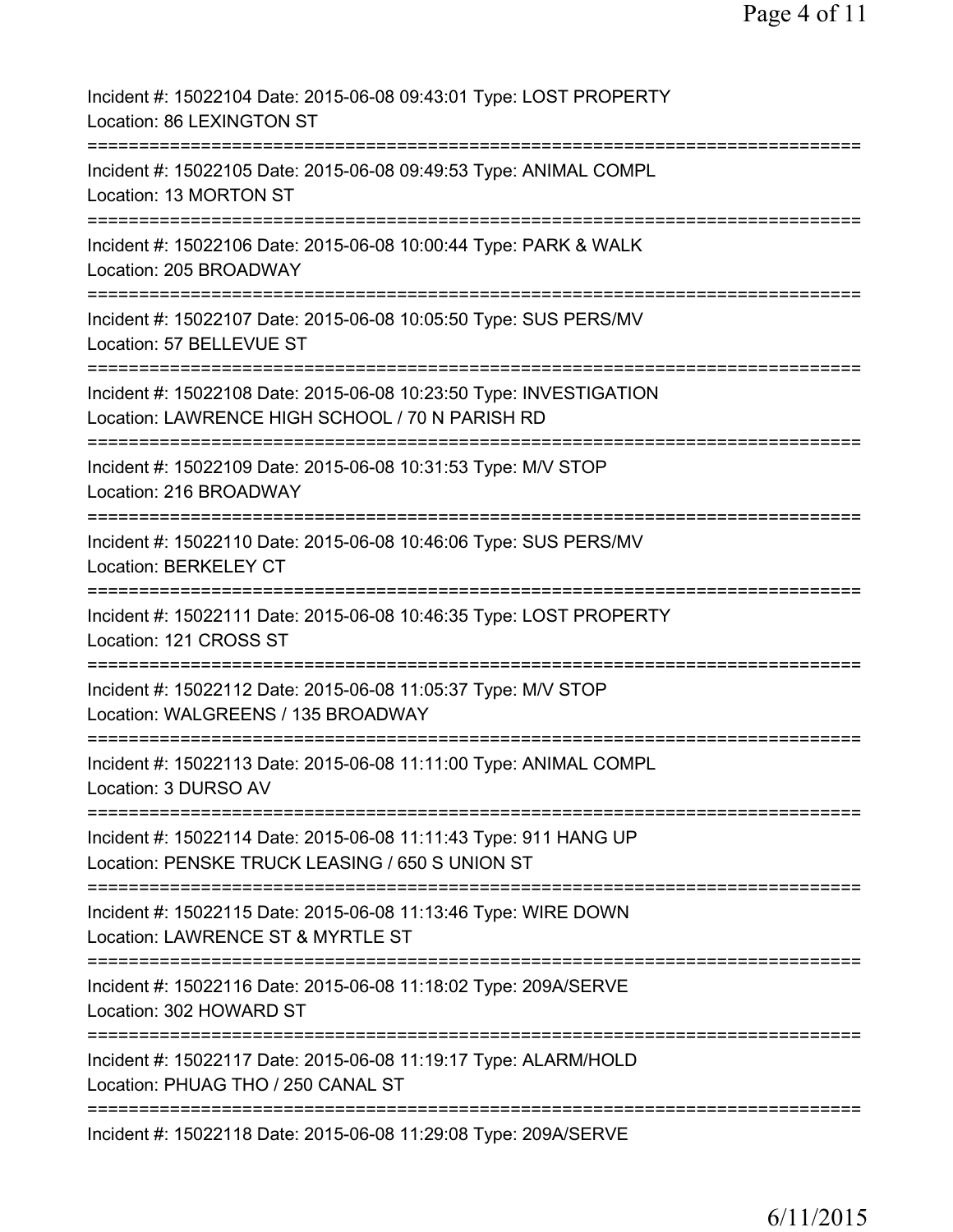| Incident #: 15022104 Date: 2015-06-08 09:43:01 Type: LOST PROPERTY<br>Location: 86 LEXINGTON ST                                                       |
|-------------------------------------------------------------------------------------------------------------------------------------------------------|
| Incident #: 15022105 Date: 2015-06-08 09:49:53 Type: ANIMAL COMPL<br>Location: 13 MORTON ST                                                           |
| Incident #: 15022106 Date: 2015-06-08 10:00:44 Type: PARK & WALK<br>Location: 205 BROADWAY                                                            |
| Incident #: 15022107 Date: 2015-06-08 10:05:50 Type: SUS PERS/MV<br>Location: 57 BELLEVUE ST                                                          |
| Incident #: 15022108 Date: 2015-06-08 10:23:50 Type: INVESTIGATION<br>Location: LAWRENCE HIGH SCHOOL / 70 N PARISH RD                                 |
| Incident #: 15022109 Date: 2015-06-08 10:31:53 Type: M/V STOP<br>Location: 216 BROADWAY                                                               |
| Incident #: 15022110 Date: 2015-06-08 10:46:06 Type: SUS PERS/MV<br>Location: BERKELEY CT                                                             |
| Incident #: 15022111 Date: 2015-06-08 10:46:35 Type: LOST PROPERTY<br>Location: 121 CROSS ST                                                          |
| Incident #: 15022112 Date: 2015-06-08 11:05:37 Type: M/V STOP<br>Location: WALGREENS / 135 BROADWAY                                                   |
| Incident #: 15022113 Date: 2015-06-08 11:11:00 Type: ANIMAL COMPL<br>Location: 3 DURSO AV                                                             |
| ==============================<br>Incident #: 15022114 Date: 2015-06-08 11:11:43 Type: 911 HANG UP<br>Location: PENSKE TRUCK LEASING / 650 S UNION ST |
| Incident #: 15022115 Date: 2015-06-08 11:13:46 Type: WIRE DOWN<br>Location: LAWRENCE ST & MYRTLE ST                                                   |
| Incident #: 15022116 Date: 2015-06-08 11:18:02 Type: 209A/SERVE<br>Location: 302 HOWARD ST                                                            |
| Incident #: 15022117 Date: 2015-06-08 11:19:17 Type: ALARM/HOLD<br>Location: PHUAG THO / 250 CANAL ST                                                 |
| ============================<br>==============<br>Incident #: 15022118 Date: 2015-06-08 11:29:08 Type: 209A/SERVE                                     |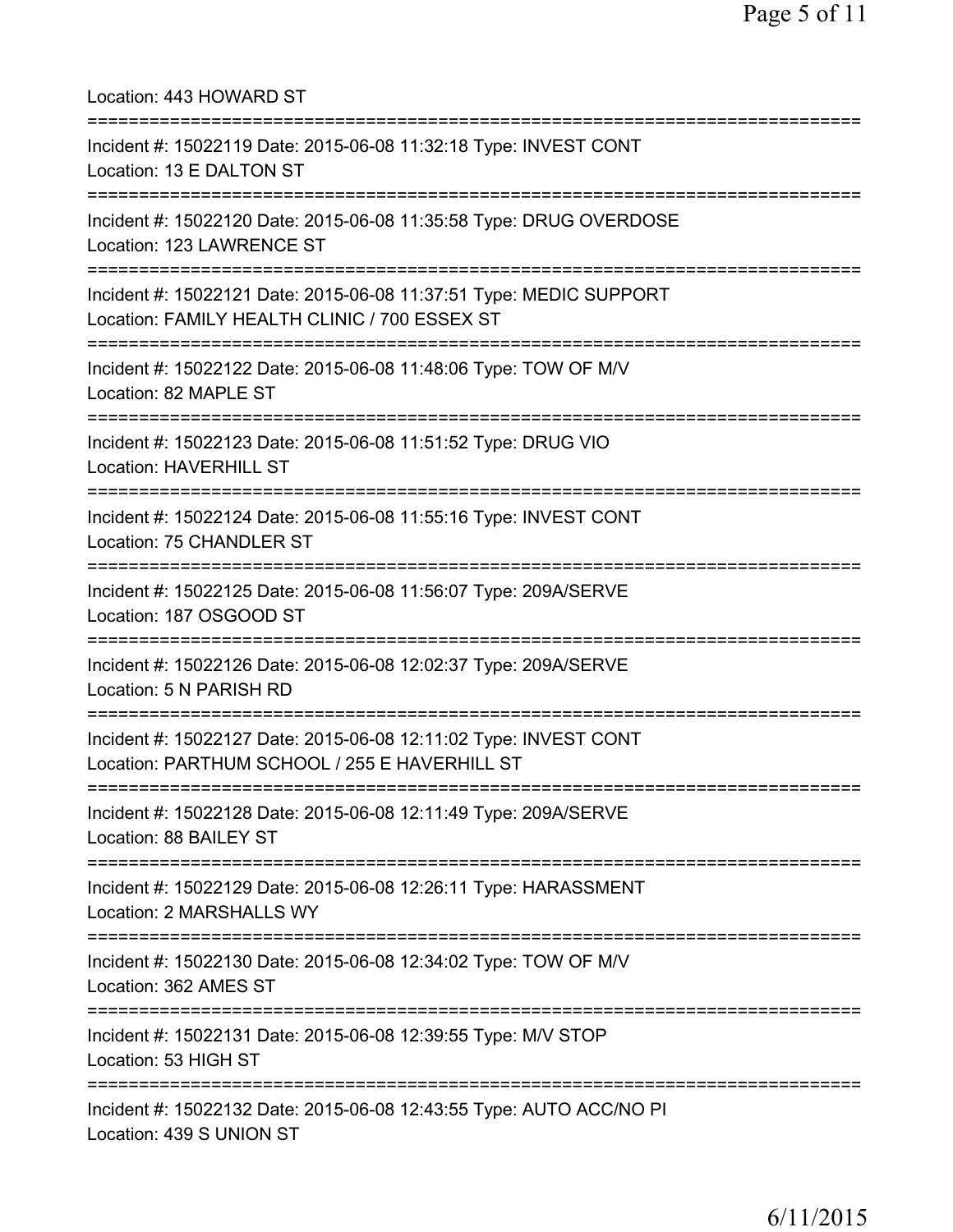| Location: 443 HOWARD ST                                                                                                                          |
|--------------------------------------------------------------------------------------------------------------------------------------------------|
| Incident #: 15022119 Date: 2015-06-08 11:32:18 Type: INVEST CONT<br>Location: 13 E DALTON ST<br>:====================                            |
| Incident #: 15022120 Date: 2015-06-08 11:35:58 Type: DRUG OVERDOSE<br>Location: 123 LAWRENCE ST<br>=====================                         |
| Incident #: 15022121 Date: 2015-06-08 11:37:51 Type: MEDIC SUPPORT<br>Location: FAMILY HEALTH CLINIC / 700 ESSEX ST<br>========================= |
| Incident #: 15022122 Date: 2015-06-08 11:48:06 Type: TOW OF M/V<br>Location: 82 MAPLE ST                                                         |
| Incident #: 15022123 Date: 2015-06-08 11:51:52 Type: DRUG VIO<br><b>Location: HAVERHILL ST</b>                                                   |
| Incident #: 15022124 Date: 2015-06-08 11:55:16 Type: INVEST CONT<br>Location: 75 CHANDLER ST                                                     |
| Incident #: 15022125 Date: 2015-06-08 11:56:07 Type: 209A/SERVE<br>Location: 187 OSGOOD ST                                                       |
| Incident #: 15022126 Date: 2015-06-08 12:02:37 Type: 209A/SERVE<br>Location: 5 N PARISH RD                                                       |
| Incident #: 15022127 Date: 2015-06-08 12:11:02 Type: INVEST CONT<br>Location: PARTHUM SCHOOL / 255 E HAVERHILL ST                                |
| Incident #: 15022128 Date: 2015-06-08 12:11:49 Type: 209A/SERVE<br>Location: 88 BAILEY ST                                                        |
| Incident #: 15022129 Date: 2015-06-08 12:26:11 Type: HARASSMENT<br>Location: 2 MARSHALLS WY                                                      |
| Incident #: 15022130 Date: 2015-06-08 12:34:02 Type: TOW OF M/V<br>Location: 362 AMES ST                                                         |
| Incident #: 15022131 Date: 2015-06-08 12:39:55 Type: M/V STOP<br>Location: 53 HIGH ST                                                            |
| Incident #: 15022132 Date: 2015-06-08 12:43:55 Type: AUTO ACC/NO PI<br>Location: 439 S UNION ST                                                  |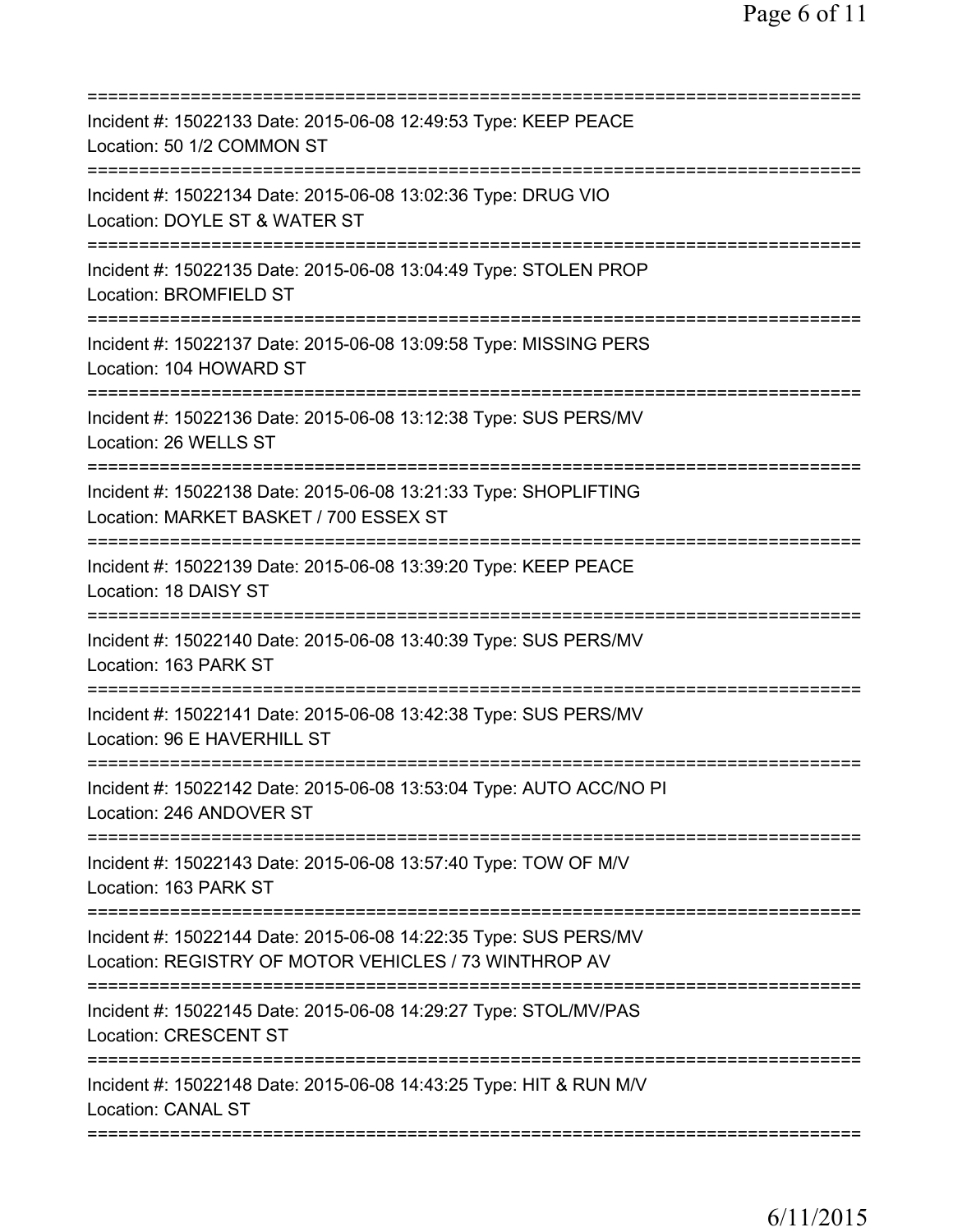| Incident #: 15022133 Date: 2015-06-08 12:49:53 Type: KEEP PEACE<br>Location: 50 1/2 COMMON ST                             |
|---------------------------------------------------------------------------------------------------------------------------|
| Incident #: 15022134 Date: 2015-06-08 13:02:36 Type: DRUG VIO<br>Location: DOYLE ST & WATER ST                            |
| Incident #: 15022135 Date: 2015-06-08 13:04:49 Type: STOLEN PROP<br>Location: BROMFIELD ST                                |
| Incident #: 15022137 Date: 2015-06-08 13:09:58 Type: MISSING PERS<br>Location: 104 HOWARD ST                              |
| Incident #: 15022136 Date: 2015-06-08 13:12:38 Type: SUS PERS/MV<br>Location: 26 WELLS ST                                 |
| Incident #: 15022138 Date: 2015-06-08 13:21:33 Type: SHOPLIFTING<br>Location: MARKET BASKET / 700 ESSEX ST                |
| Incident #: 15022139 Date: 2015-06-08 13:39:20 Type: KEEP PEACE<br>Location: 18 DAISY ST                                  |
| Incident #: 15022140 Date: 2015-06-08 13:40:39 Type: SUS PERS/MV<br>Location: 163 PARK ST                                 |
| Incident #: 15022141 Date: 2015-06-08 13:42:38 Type: SUS PERS/MV<br>Location: 96 E HAVERHILL ST                           |
| Incident #: 15022142 Date: 2015-06-08 13:53:04 Type: AUTO ACC/NO PI<br>Location: 246 ANDOVER ST                           |
| Incident #: 15022143 Date: 2015-06-08 13:57:40 Type: TOW OF M/V<br>Location: 163 PARK ST                                  |
| Incident #: 15022144 Date: 2015-06-08 14:22:35 Type: SUS PERS/MV<br>Location: REGISTRY OF MOTOR VEHICLES / 73 WINTHROP AV |
| Incident #: 15022145 Date: 2015-06-08 14:29:27 Type: STOL/MV/PAS<br><b>Location: CRESCENT ST</b>                          |
| Incident #: 15022148 Date: 2015-06-08 14:43:25 Type: HIT & RUN M/V<br>Location: CANAL ST                                  |
|                                                                                                                           |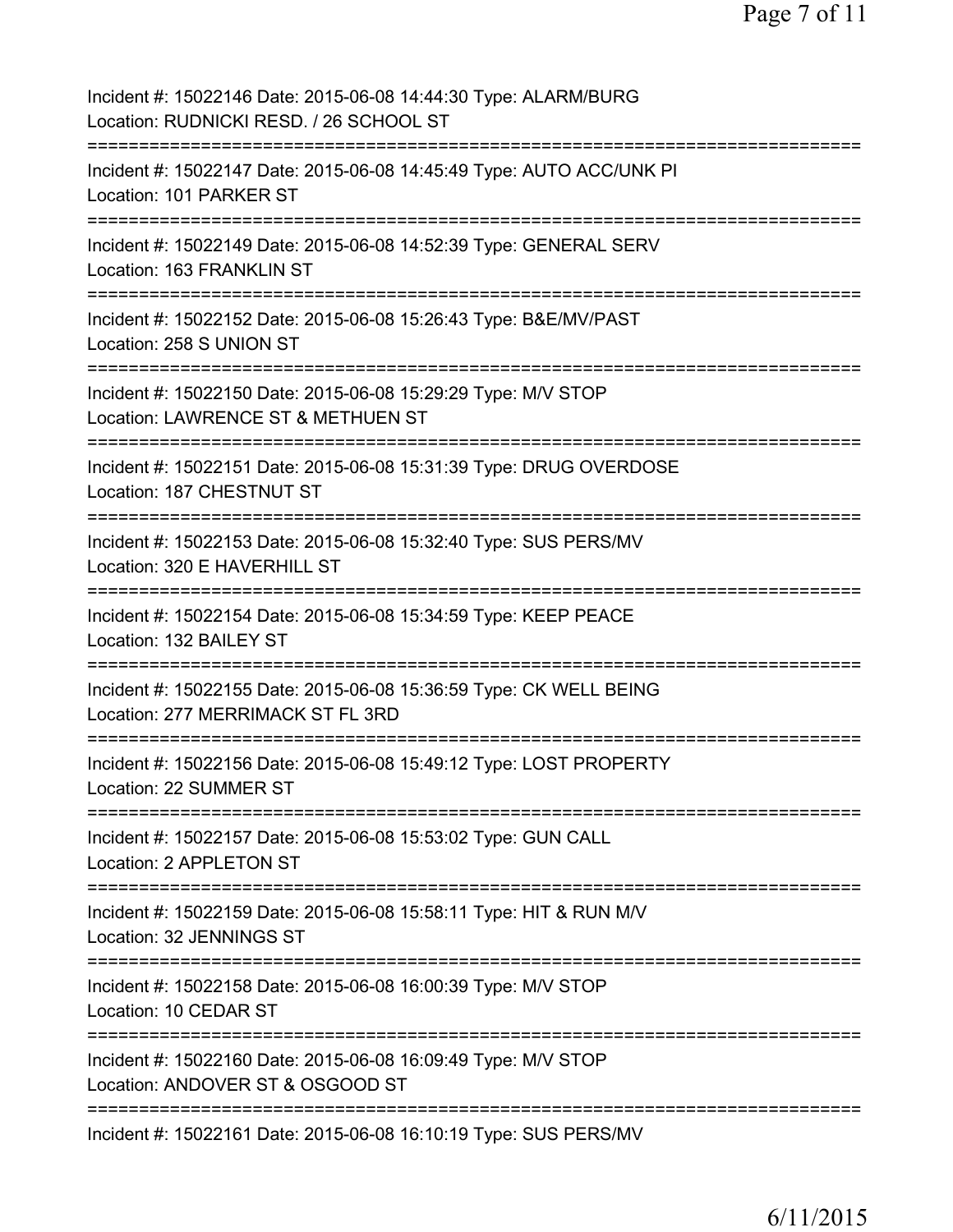Page 7 of 11

| Incident #: 15022146 Date: 2015-06-08 14:44:30 Type: ALARM/BURG<br>Location: RUDNICKI RESD. / 26 SCHOOL ST                                   |
|----------------------------------------------------------------------------------------------------------------------------------------------|
| Incident #: 15022147 Date: 2015-06-08 14:45:49 Type: AUTO ACC/UNK PI<br>Location: 101 PARKER ST                                              |
| Incident #: 15022149 Date: 2015-06-08 14:52:39 Type: GENERAL SERV<br>Location: 163 FRANKLIN ST                                               |
| Incident #: 15022152 Date: 2015-06-08 15:26:43 Type: B&E/MV/PAST<br>Location: 258 S UNION ST                                                 |
| Incident #: 15022150 Date: 2015-06-08 15:29:29 Type: M/V STOP<br>Location: LAWRENCE ST & METHUEN ST                                          |
| Incident #: 15022151 Date: 2015-06-08 15:31:39 Type: DRUG OVERDOSE<br>Location: 187 CHESTNUT ST                                              |
| Incident #: 15022153 Date: 2015-06-08 15:32:40 Type: SUS PERS/MV<br>Location: 320 E HAVERHILL ST                                             |
| Incident #: 15022154 Date: 2015-06-08 15:34:59 Type: KEEP PEACE<br>Location: 132 BAILEY ST                                                   |
| =================================<br>Incident #: 15022155 Date: 2015-06-08 15:36:59 Type: CK WELL BEING<br>Location: 277 MERRIMACK ST FL 3RD |
| Incident #: 15022156 Date: 2015-06-08 15:49:12 Type: LOST PROPERTY<br>Location: 22 SUMMER ST                                                 |
| Incident #: 15022157 Date: 2015-06-08 15:53:02 Type: GUN CALL<br>Location: 2 APPLETON ST                                                     |
| Incident #: 15022159 Date: 2015-06-08 15:58:11 Type: HIT & RUN M/V<br>Location: 32 JENNINGS ST                                               |
| Incident #: 15022158 Date: 2015-06-08 16:00:39 Type: M/V STOP<br>Location: 10 CEDAR ST                                                       |
| Incident #: 15022160 Date: 2015-06-08 16:09:49 Type: M/V STOP<br>Location: ANDOVER ST & OSGOOD ST                                            |
| Incident #: 15022161 Date: 2015-06-08 16:10:19 Type: SUS PERS/MV                                                                             |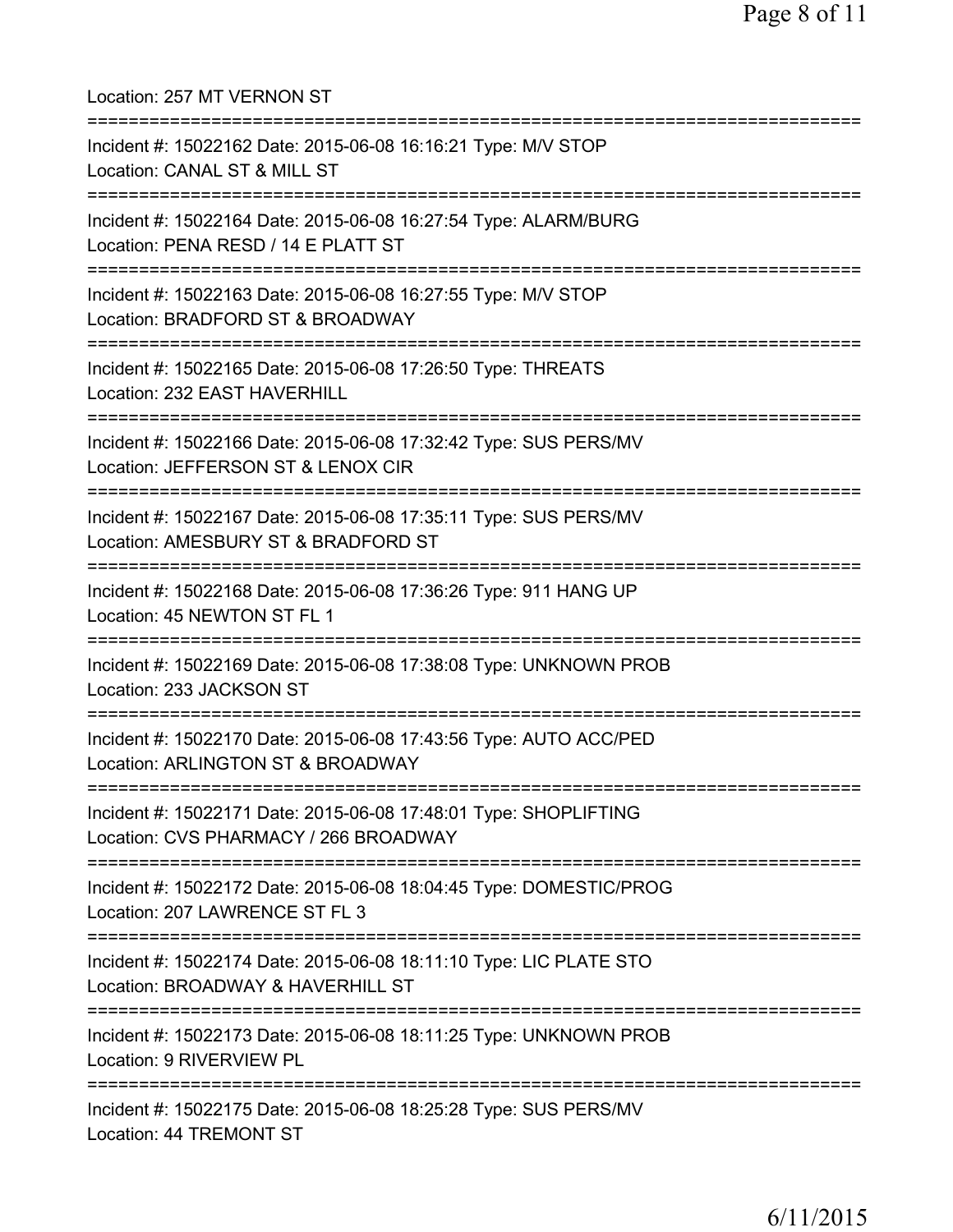| Location: 257 MT VERNON ST<br>===============================                                                                                     |
|---------------------------------------------------------------------------------------------------------------------------------------------------|
| Incident #: 15022162 Date: 2015-06-08 16:16:21 Type: M/V STOP<br>Location: CANAL ST & MILL ST<br>================================                 |
| Incident #: 15022164 Date: 2015-06-08 16:27:54 Type: ALARM/BURG<br>Location: PENA RESD / 14 E PLATT ST                                            |
| Incident #: 15022163 Date: 2015-06-08 16:27:55 Type: M/V STOP<br>Location: BRADFORD ST & BROADWAY                                                 |
| ========================<br>Incident #: 15022165 Date: 2015-06-08 17:26:50 Type: THREATS<br>Location: 232 EAST HAVERHILL                          |
| =====================<br>Incident #: 15022166 Date: 2015-06-08 17:32:42 Type: SUS PERS/MV<br>Location: JEFFERSON ST & LENOX CIR                   |
| Incident #: 15022167 Date: 2015-06-08 17:35:11 Type: SUS PERS/MV<br>Location: AMESBURY ST & BRADFORD ST                                           |
| Incident #: 15022168 Date: 2015-06-08 17:36:26 Type: 911 HANG UP<br>Location: 45 NEWTON ST FL 1                                                   |
| Incident #: 15022169 Date: 2015-06-08 17:38:08 Type: UNKNOWN PROB<br>Location: 233 JACKSON ST                                                     |
| Incident #: 15022170 Date: 2015-06-08 17:43:56 Type: AUTO ACC/PED<br>Location: ARLINGTON ST & BROADWAY                                            |
| ====================================<br>Incident #: 15022171 Date: 2015-06-08 17:48:01 Type: SHOPLIFTING<br>Location: CVS PHARMACY / 266 BROADWAY |
| :=========================<br>Incident #: 15022172 Date: 2015-06-08 18:04:45 Type: DOMESTIC/PROG<br>Location: 207 LAWRENCE ST FL 3                |
| Incident #: 15022174 Date: 2015-06-08 18:11:10 Type: LIC PLATE STO<br>Location: BROADWAY & HAVERHILL ST                                           |
| Incident #: 15022173 Date: 2015-06-08 18:11:25 Type: UNKNOWN PROB<br>Location: 9 RIVERVIEW PL                                                     |
| Incident #: 15022175 Date: 2015-06-08 18:25:28 Type: SUS PERS/MV<br>Location: 44 TREMONT ST                                                       |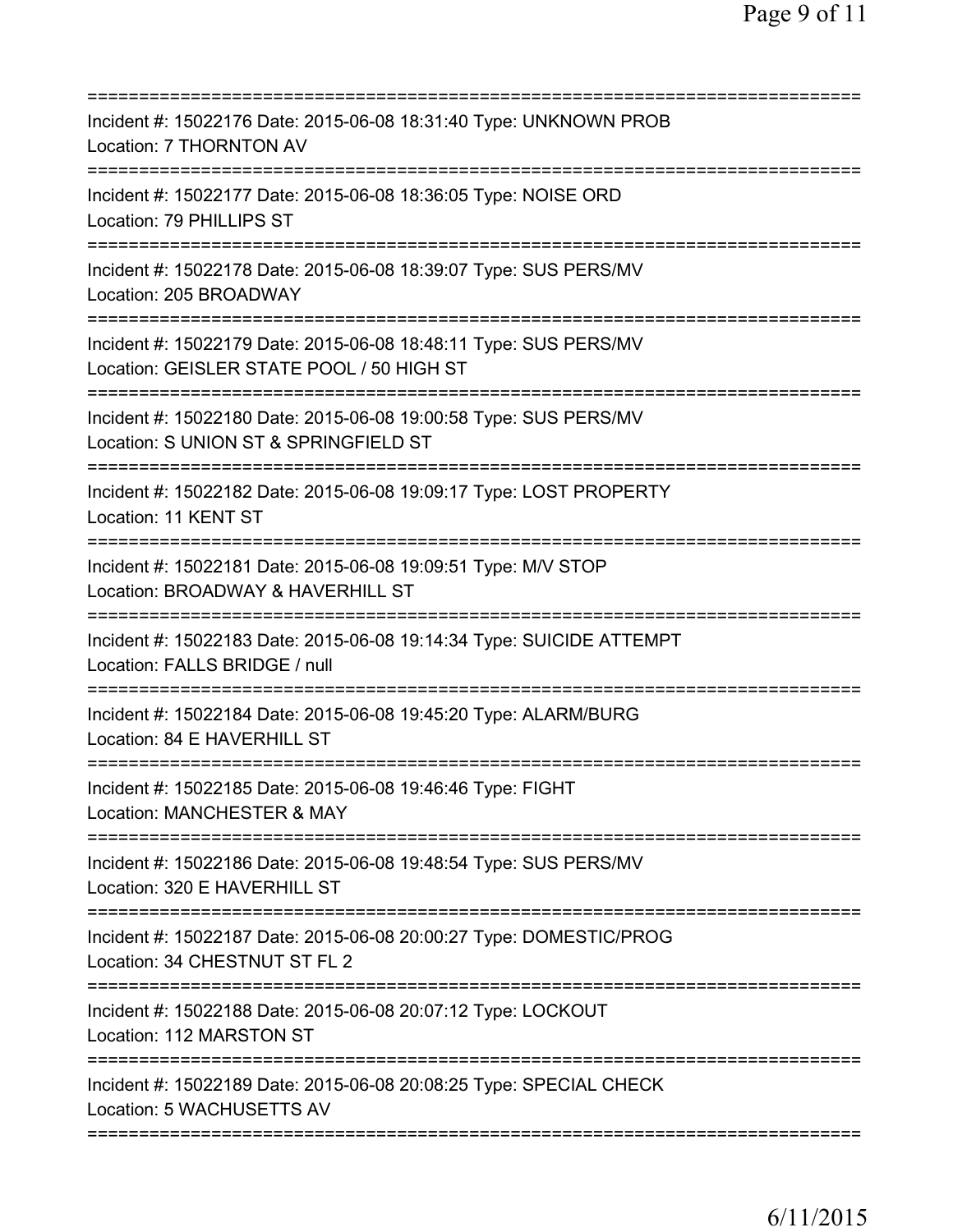| Incident #: 15022176 Date: 2015-06-08 18:31:40 Type: UNKNOWN PROB<br>Location: 7 THORNTON AV                                                                                 |
|------------------------------------------------------------------------------------------------------------------------------------------------------------------------------|
| Incident #: 15022177 Date: 2015-06-08 18:36:05 Type: NOISE ORD<br>Location: 79 PHILLIPS ST                                                                                   |
| Incident #: 15022178 Date: 2015-06-08 18:39:07 Type: SUS PERS/MV<br>Location: 205 BROADWAY                                                                                   |
| Incident #: 15022179 Date: 2015-06-08 18:48:11 Type: SUS PERS/MV<br>Location: GEISLER STATE POOL / 50 HIGH ST<br>===============================                             |
| Incident #: 15022180 Date: 2015-06-08 19:00:58 Type: SUS PERS/MV<br>Location: S UNION ST & SPRINGFIELD ST                                                                    |
| =========================<br>Incident #: 15022182 Date: 2015-06-08 19:09:17 Type: LOST PROPERTY<br>Location: 11 KENT ST                                                      |
| =====================================<br>Incident #: 15022181 Date: 2015-06-08 19:09:51 Type: M/V STOP<br>Location: BROADWAY & HAVERHILL ST<br>============================= |
| Incident #: 15022183 Date: 2015-06-08 19:14:34 Type: SUICIDE ATTEMPT<br>Location: FALLS BRIDGE / null                                                                        |
| Incident #: 15022184 Date: 2015-06-08 19:45:20 Type: ALARM/BURG<br>Location: 84 E HAVERHILL ST                                                                               |
| Incident #: 15022185 Date: 2015-06-08 19:46:46 Type: FIGHT<br>Location: MANCHESTER & MAY                                                                                     |
| Incident #: 15022186 Date: 2015-06-08 19:48:54 Type: SUS PERS/MV<br>Location: 320 E HAVERHILL ST                                                                             |
| Incident #: 15022187 Date: 2015-06-08 20:00:27 Type: DOMESTIC/PROG<br>Location: 34 CHESTNUT ST FL 2                                                                          |
| =========================<br>Incident #: 15022188 Date: 2015-06-08 20:07:12 Type: LOCKOUT<br>Location: 112 MARSTON ST                                                        |
| Incident #: 15022189 Date: 2015-06-08 20:08:25 Type: SPECIAL CHECK<br>Location: 5 WACHUSETTS AV                                                                              |
|                                                                                                                                                                              |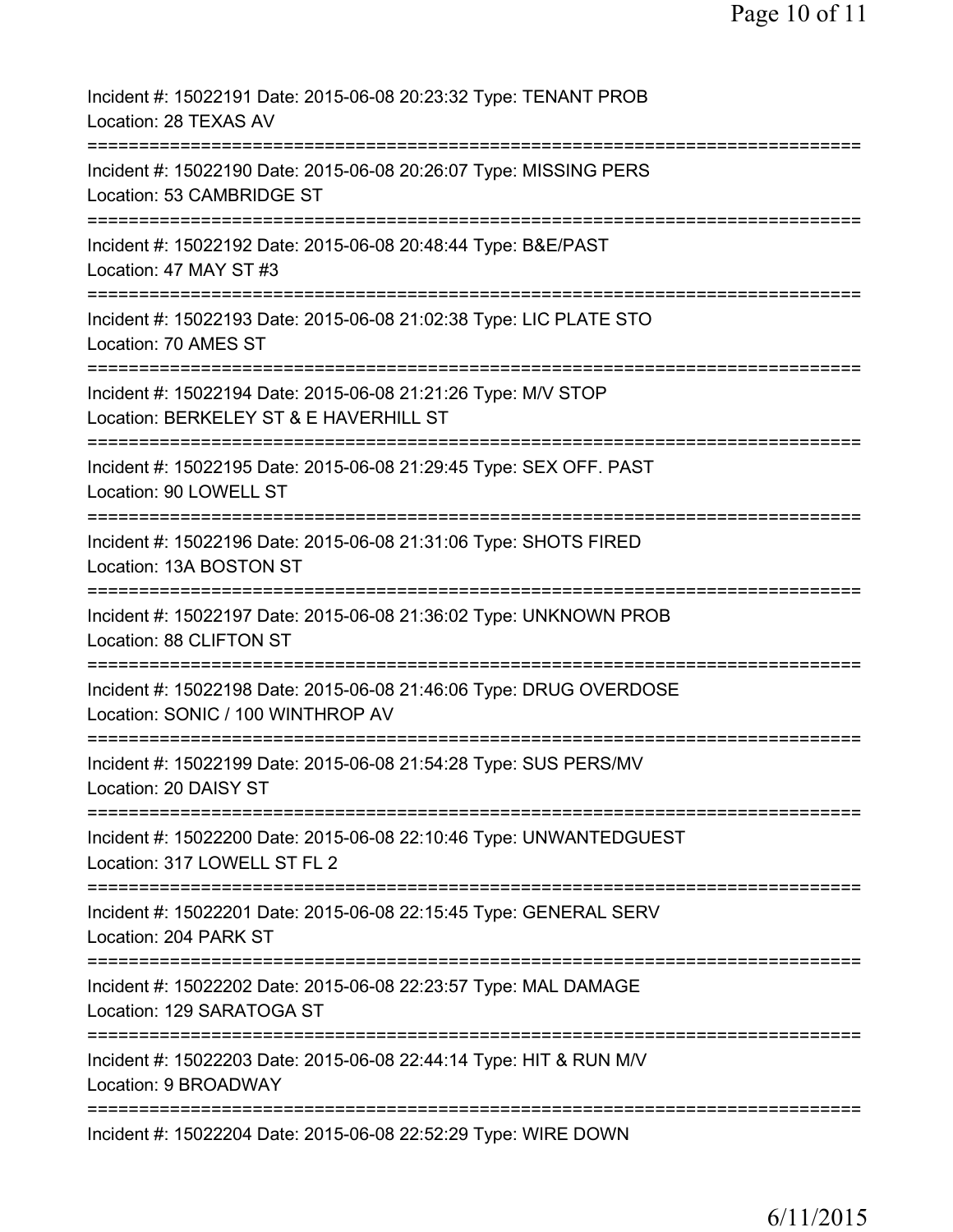| Incident #: 15022191 Date: 2015-06-08 20:23:32 Type: TENANT PROB<br>Location: 28 TEXAS AV                                   |
|-----------------------------------------------------------------------------------------------------------------------------|
| Incident #: 15022190 Date: 2015-06-08 20:26:07 Type: MISSING PERS<br>Location: 53 CAMBRIDGE ST                              |
| Incident #: 15022192 Date: 2015-06-08 20:48:44 Type: B&E/PAST<br>Location: 47 MAY ST #3                                     |
| Incident #: 15022193 Date: 2015-06-08 21:02:38 Type: LIC PLATE STO<br>Location: 70 AMES ST                                  |
| Incident #: 15022194 Date: 2015-06-08 21:21:26 Type: M/V STOP<br>Location: BERKELEY ST & E HAVERHILL ST                     |
| :==========================<br>Incident #: 15022195 Date: 2015-06-08 21:29:45 Type: SEX OFF. PAST<br>Location: 90 LOWELL ST |
| Incident #: 15022196 Date: 2015-06-08 21:31:06 Type: SHOTS FIRED<br>Location: 13A BOSTON ST                                 |
| Incident #: 15022197 Date: 2015-06-08 21:36:02 Type: UNKNOWN PROB<br>Location: 88 CLIFTON ST                                |
| Incident #: 15022198 Date: 2015-06-08 21:46:06 Type: DRUG OVERDOSE<br>Location: SONIC / 100 WINTHROP AV                     |
| Incident #: 15022199 Date: 2015-06-08 21:54:28 Type: SUS PERS/MV<br>Location: 20 DAISY ST                                   |
| Incident #: 15022200 Date: 2015-06-08 22:10:46 Type: UNWANTEDGUEST<br>Location: 317 LOWELL ST FL 2                          |
| Incident #: 15022201 Date: 2015-06-08 22:15:45 Type: GENERAL SERV<br>Location: 204 PARK ST                                  |
| Incident #: 15022202 Date: 2015-06-08 22:23:57 Type: MAL DAMAGE<br>Location: 129 SARATOGA ST                                |
| Incident #: 15022203 Date: 2015-06-08 22:44:14 Type: HIT & RUN M/V<br>Location: 9 BROADWAY                                  |
| Incident #: 15022204 Date: 2015-06-08 22:52:29 Type: WIRE DOWN                                                              |